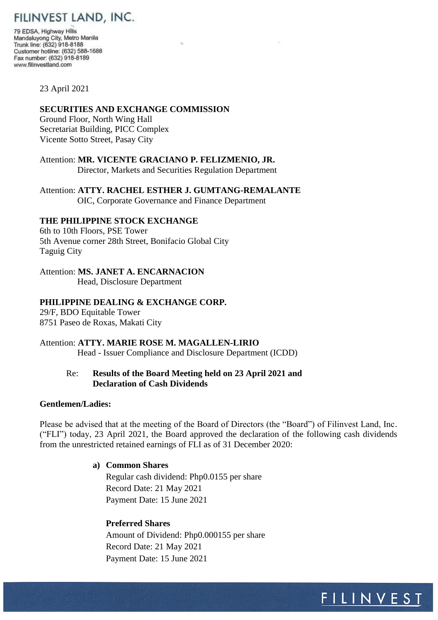# FILINVEST LAND, INC.

79 EDSA, Highway Hills Mandaluyong City, Metro Manila Trunk line: (632) 918-8188 Customer hotline: (632) 588-1688 Fax number: (632) 918-8189 www.filinvestland.com

#### 23 April 2021

#### **SECURITIES AND EXCHANGE COMMISSION**

Ground Floor, North Wing Hall Secretariat Building, PICC Complex Vicente Sotto Street, Pasay City

Attention: **MR. VICENTE GRACIANO P. FELIZMENIO, JR.** Director, Markets and Securities Regulation Department

Attention: **ATTY. RACHEL ESTHER J. GUMTANG-REMALANTE** OIC, Corporate Governance and Finance Department

## **THE PHILIPPINE STOCK EXCHANGE**

6th to 10th Floors, PSE Tower 5th Avenue corner 28th Street, Bonifacio Global City Taguig City

### Attention: **MS. JANET A. ENCARNACION**

Head, Disclosure Department

#### **PHILIPPINE DEALING & EXCHANGE CORP.**

29/F, BDO Equitable Tower 8751 Paseo de Roxas, Makati City

#### Attention: **ATTY. MARIE ROSE M. MAGALLEN-LIRIO**

Head - Issuer Compliance and Disclosure Department (ICDD)

## Re: **Results of the Board Meeting held on 23 April 2021 and Declaration of Cash Dividends**

#### **Gentlemen/Ladies:**

Please be advised that at the meeting of the Board of Directors (the "Board") of Filinvest Land, Inc. ("FLI") today, 23 April 2021, the Board approved the declaration of the following cash dividends from the unrestricted retained earnings of FLI as of 31 December 2020:

#### **a) Common Shares**

 Regular cash dividend: Php0.0155 per share Record Date: 21 May 2021 Payment Date: 15 June 2021

#### **Preferred Shares**

 Amount of Dividend: Php0.000155 per share Record Date: 21 May 2021 Payment Date: 15 June 2021